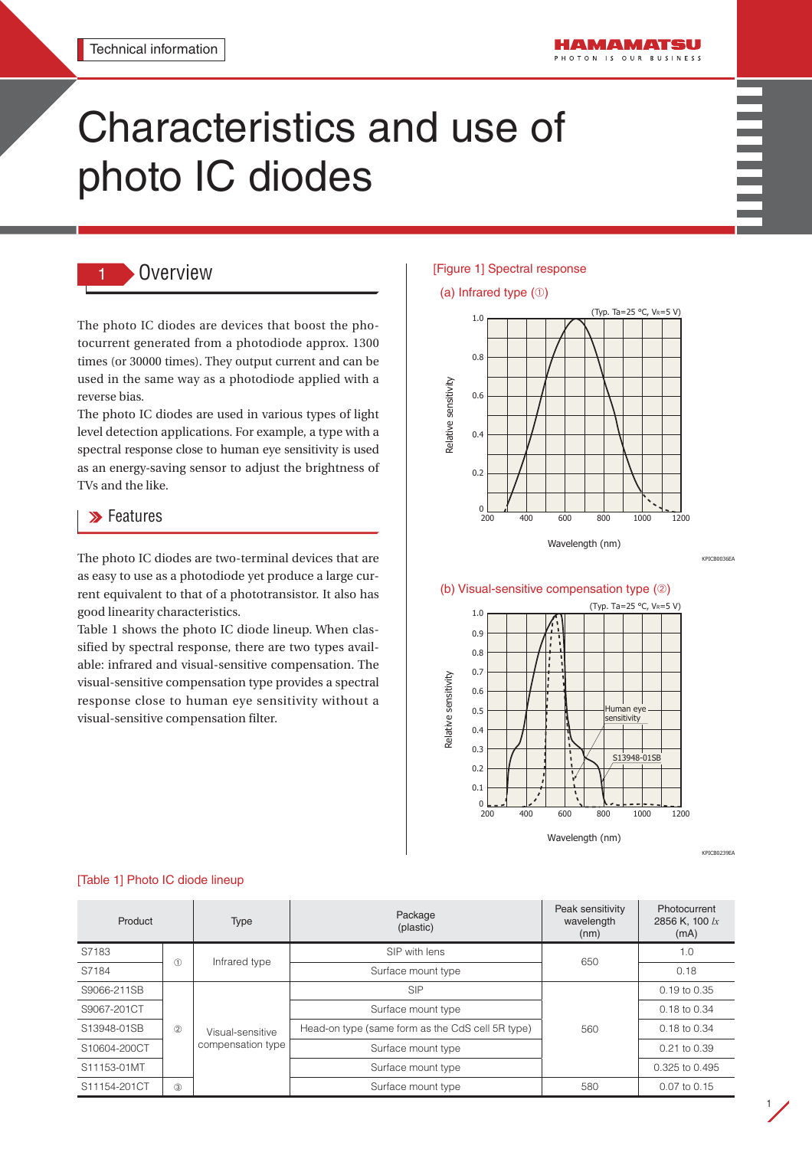# Characteristics and use of photo IC diodes



# 1 Overview

The photo IC diodes are devices that boost the photocurrent generated from a photodiode approx. 1300 times (or 30000 times). They output current and can be used in the same way as a photodiode applied with a reverse bias.

The photo IC diodes are used in various types of light level detection applications. For example, a type with a spectral response close to human eye sensitivity is used as an energy-saving sensor to adjust the brightness of TVs and the like.

# **>>** Features

The photo IC diodes are two-terminal devices that are as easy to use as a photodiode yet produce a large current equivalent to that of a phototransistor. It also has good linearity characteristics.

Table 1 shows the photo IC diode lineup. When classified by spectral response, there are two types available: infrared and visual-sensitive compensation. The visual-sensitive compensation type provides a spectral response close to human eye sensitivity without a visual-sensitive compensation filter.

### [Figure 1] Spectral response

# (a) Infrared type (➀)



Wavelength (nm)

#### (b) Visual-sensitive compensation type (➁)



KPICB0239EA

KPICB0036E

1

#### [Table 1] Photo IC diode lineup

| Product      |            | Type                                  | Package<br>(plastic)                             | Peak sensitivity<br>wavelength<br>(nm) | Photocurrent<br>2856 K, 100 lx<br>(mA) |
|--------------|------------|---------------------------------------|--------------------------------------------------|----------------------------------------|----------------------------------------|
| S7183        | (1)        | Infrared type                         | SIP with lens                                    | 650                                    | 1.0                                    |
| S7184        |            |                                       | Surface mount type                               |                                        | 0.18                                   |
| S9066-211SB  | (2)<br>(3) | Visual-sensitive<br>compensation type | <b>SIP</b>                                       | 560                                    | 0.19 to 0.35                           |
| S9067-201CT  |            |                                       | Surface mount type                               |                                        | 0.18 to 0.34                           |
| S13948-01SB  |            |                                       | Head-on type (same form as the CdS cell 5R type) |                                        | $0.18$ to $0.34$                       |
| S10604-200CT |            |                                       | Surface mount type                               |                                        | 0.21 to 0.39                           |
| S11153-01MT  |            |                                       | Surface mount type                               |                                        | 0.325 to 0.495                         |
| S11154-201CT |            |                                       | Surface mount type                               | 580                                    | 0.07 to 0.15                           |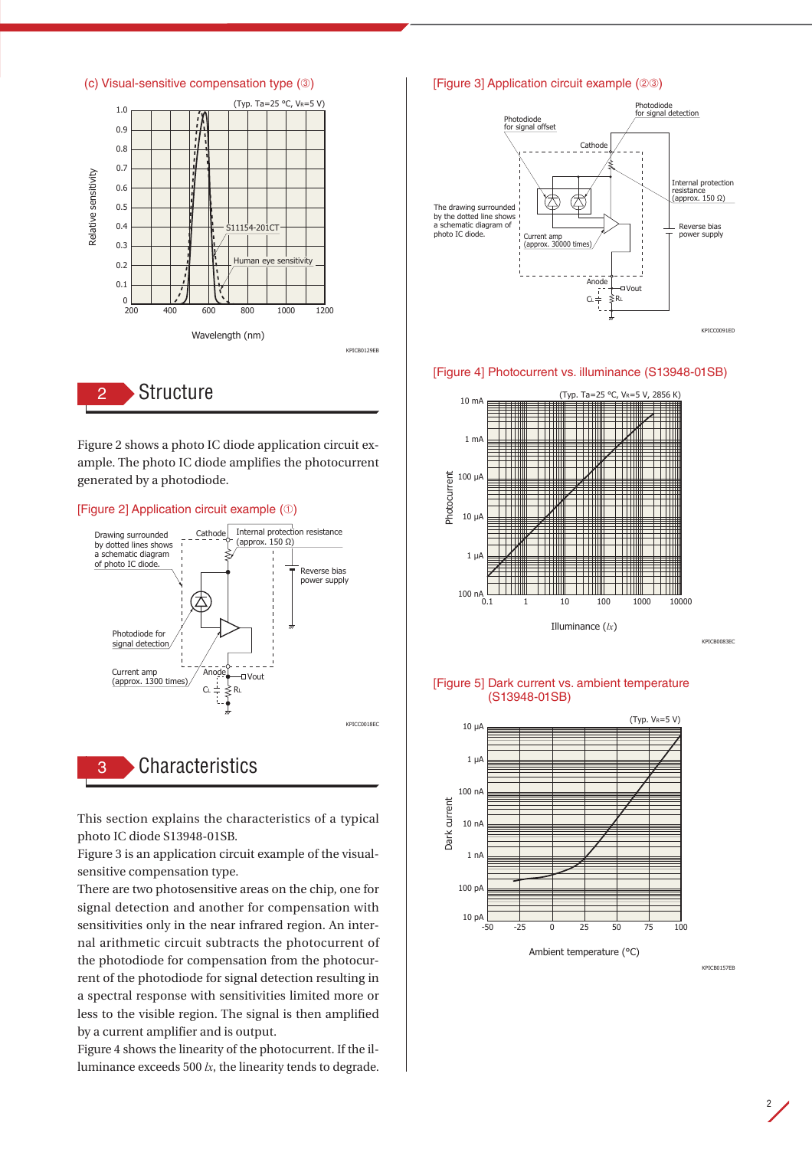

Figure 2 shows a photo IC diode application circuit example. The photo IC diode amplifies the photocurrent generated by a photodiode.

#### [Figure 2] Application circuit example (➀)



This section explains the characteristics of a typical photo IC diode S13948-01SB.

Figure 3 is an application circuit example of the visualsensitive compensation type.

There are two photosensitive areas on the chip, one for signal detection and another for compensation with sensitivities only in the near infrared region. An internal arithmetic circuit subtracts the photocurrent of the photodiode for compensation from the photocurrent of the photodiode for signal detection resulting in a spectral response with sensitivities limited more or less to the visible region. The signal is then amplified by a current amplifier and is output.

Figure 4 shows the linearity of the photocurrent. If the illuminance exceeds 500 *lx*, the linearity tends to degrade.

#### [Figure 3] Application circuit example (➁➂)



#### [Figure 4] Photocurrent vs. illuminance (S13948-01SB)



[Figure 5] Dark current vs. ambient temperature (S13948-01SB)



Ambient temperature (°C)

KPICB0157EB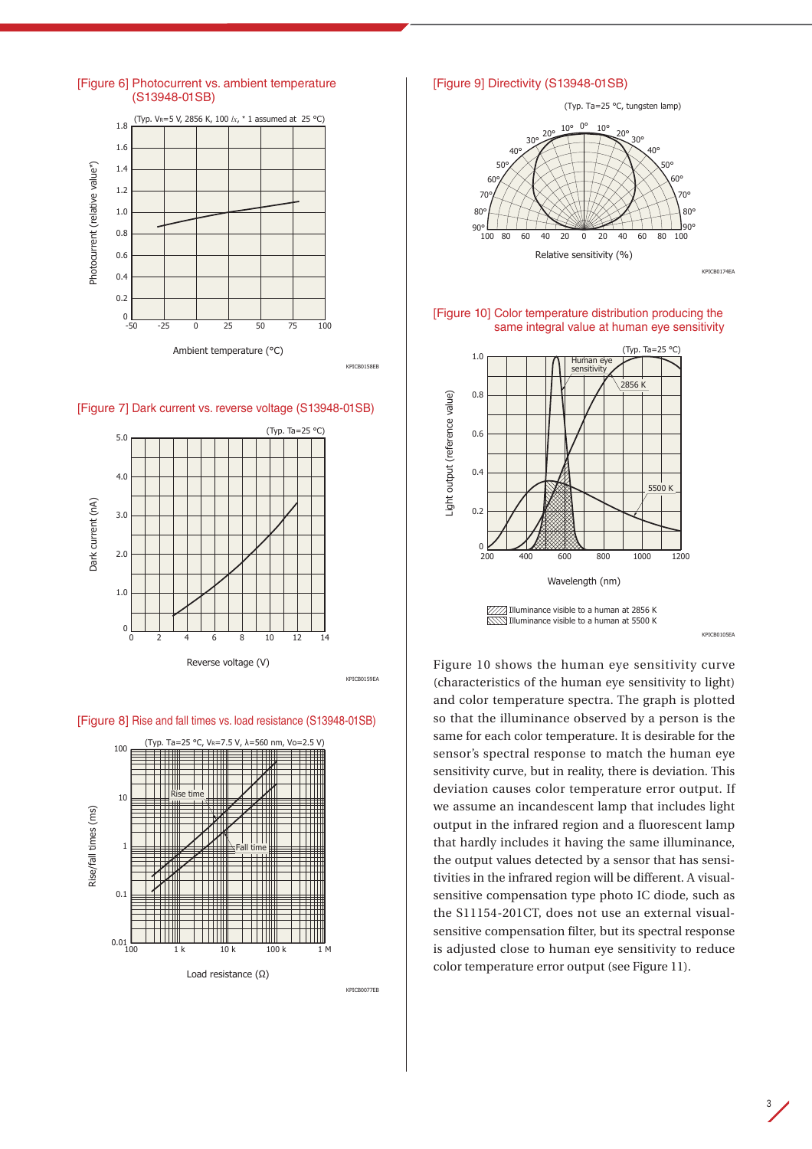









KPICB0077EB

#### [Figure 9] Directivity (S13948-01SB)



[Figure 10] Color temperature distribution producing the same integral value at human eye sensitivity



KPICB0105EA

Figure 10 shows the human eye sensitivity curve (characteristics of the human eye sensitivity to light) and color temperature spectra. The graph is plotted so that the illuminance observed by a person is the same for each color temperature. It is desirable for the sensor's spectral response to match the human eye sensitivity curve, but in reality, there is deviation. This deviation causes color temperature error output. If we assume an incandescent lamp that includes light output in the infrared region and a fluorescent lamp that hardly includes it having the same illuminance, the output values detected by a sensor that has sensitivities in the infrared region will be different. A visualsensitive compensation type photo IC diode, such as the S11154-201CT, does not use an external visualsensitive compensation filter, but its spectral response is adjusted close to human eye sensitivity to reduce color temperature error output (see Figure 11).

3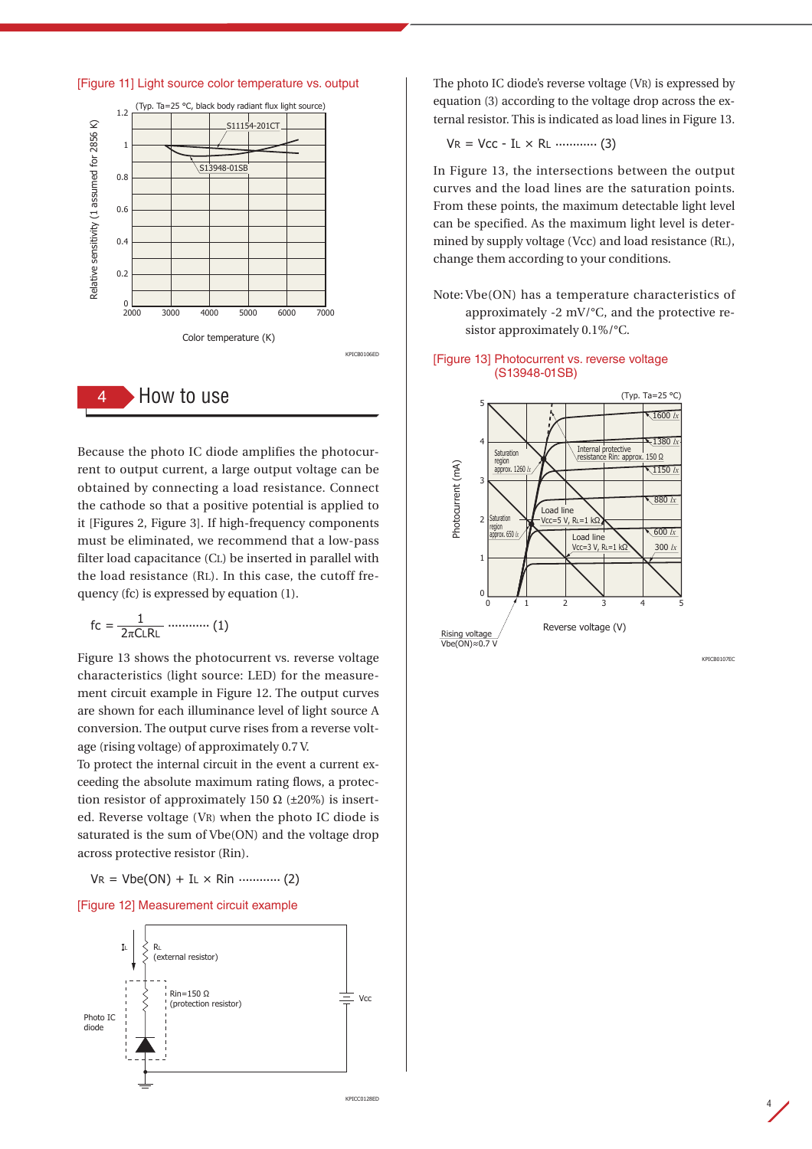

Because the photo IC diode amplifies the photocurrent to output current, a large output voltage can be obtained by connecting a load resistance. Connect the cathode so that a positive potential is applied to it [Figures 2, Figure 3]. If high-frequency components must be eliminated, we recommend that a low-pass filter load capacitance (CL) be inserted in parallel with the load resistance (RL). In this case, the cutoff frequency (fc) is expressed by equation (1).

$$
\text{fc} = \frac{1}{2\pi\text{CLRL}} \dots \dots \dots \dots \tag{1}
$$

Figure 13 shows the photocurrent vs. reverse voltage characteristics (light source: LED) for the measurement circuit example in Figure 12. The output curves are shown for each illuminance level of light source A conversion. The output curve rises from a reverse voltage (rising voltage) of approximately 0.7 V.

To protect the internal circuit in the event a current exceeding the absolute maximum rating flows, a protection resistor of approximately 150  $\Omega$  ( $\pm$ 20%) is inserted. Reverse voltage (VR) when the photo IC diode is saturated is the sum of Vbe(ON) and the voltage drop across protective resistor (Rin).

 $V = Vbe(ON) + IL \times Rin$  .............. (2)

#### [Figure 12] Measurement circuit example



The photo IC diode's reverse voltage (VR) is expressed by equation (3) according to the voltage drop across the external resistor. This is indicated as load lines in Figure 13.

$$
VR = Vcc - IL \times RL
$$
 ……… (3)

In Figure 13, the intersections between the output curves and the load lines are the saturation points. From these points, the maximum detectable light level can be specified. As the maximum light level is determined by supply voltage (Vcc) and load resistance (RL), change them according to your conditions.

Note: Vbe(ON) has a temperature characteristics of approximately -2 mV/°C, and the protective resistor approximately 0.1%/°C.

#### [Figure 13] Photocurrent vs. reverse voltage (S13948-01SB)



KPICB0107EC